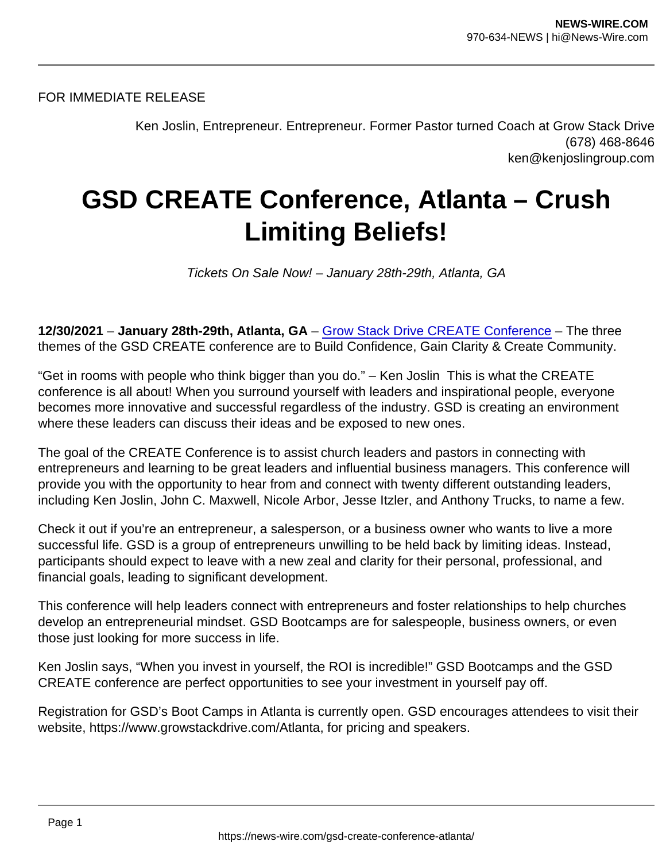FOR IMMEDIATE RELEASE

Ken Joslin, Entrepreneur. Entrepreneur. Former Pastor turned Coach at Grow Stack Drive (678) 468-8646 ken@kenjoslingroup.com

## GSD CREATE Conference, Atlanta – Crush Limiting Beliefs!

Tickets On Sale Now! – January 28th-29th, Atlanta, GA

12/30/2021 – January 28th-29th, Atlanta, GA – [Grow Stack Drive CREATE Conference](https://www.growstackdrive.com/Atlanta) – The three themes of the GSD CREATE conference are to Build Confidence, Gain Clarity & Create Community.

"Get in rooms with people who think bigger than you do." – Ken Joslin This is what the CREATE conference is all about! When you surround yourself with leaders and inspirational people, everyone becomes more innovative and successful regardless of the industry. GSD is creating an environment where these leaders can discuss their ideas and be exposed to new ones.

The goal of the CREATE Conference is to assist church leaders and pastors in connecting with entrepreneurs and learning to be great leaders and influential business managers. This conference will provide you with the opportunity to hear from and connect with twenty different outstanding leaders, including Ken Joslin, John C. Maxwell, Nicole Arbor, Jesse Itzler, and Anthony Trucks, to name a few.

Check it out if you're an entrepreneur, a salesperson, or a business owner who wants to live a more successful life. GSD is a group of entrepreneurs unwilling to be held back by limiting ideas. Instead, participants should expect to leave with a new zeal and clarity for their personal, professional, and financial goals, leading to significant development.

This conference will help leaders connect with entrepreneurs and foster relationships to help churches develop an entrepreneurial mindset. GSD Bootcamps are for salespeople, business owners, or even those just looking for more success in life.

Ken Joslin says, "When you invest in yourself, the ROI is incredible!" GSD Bootcamps and the GSD CREATE conference are perfect opportunities to see your investment in yourself pay off.

Registration for GSD's Boot Camps in Atlanta is currently open. GSD encourages attendees to visit their website, https://www.growstackdrive.com/Atlanta, for pricing and speakers.